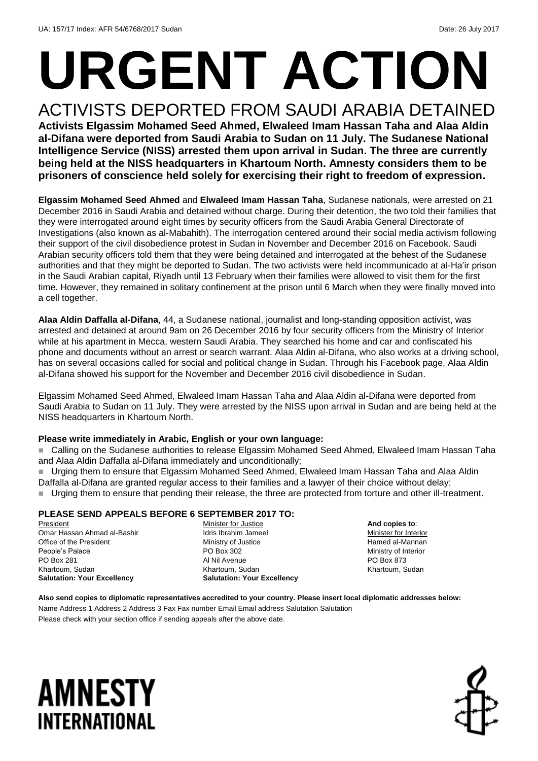# **URGENT ACTION**

ACTIVISTS DEPORTED FROM SAUDI ARABIA DETAINED **Activists Elgassim Mohamed Seed Ahmed, Elwaleed Imam Hassan Taha and Alaa Aldin al-Difana were deported from Saudi Arabia to Sudan on 11 July. The Sudanese National Intelligence Service (NISS) arrested them upon arrival in Sudan. The three are currently being held at the NISS headquarters in Khartoum North. Amnesty considers them to be prisoners of conscience held solely for exercising their right to freedom of expression.**

**Elgassim Mohamed Seed Ahmed** and **Elwaleed Imam Hassan Taha**, Sudanese nationals, were arrested on 21 December 2016 in Saudi Arabia and detained without charge. During their detention, the two told their families that they were interrogated around eight times by security officers from the Saudi Arabia General Directorate of Investigations (also known as al-Mabahith). The interrogation centered around their social media activism following their support of the civil disobedience protest in Sudan in November and December 2016 on Facebook. Saudi Arabian security officers told them that they were being detained and interrogated at the behest of the Sudanese authorities and that they might be deported to Sudan. The two activists were held incommunicado at al-Ha'ir prison in the Saudi Arabian capital, Riyadh until 13 February when their families were allowed to visit them for the first time. However, they remained in solitary confinement at the prison until 6 March when they were finally moved into a cell together.

**Alaa Aldin Daffalla al-Difana**, 44, a Sudanese national, journalist and long-standing opposition activist, was arrested and detained at around 9am on 26 December 2016 by four security officers from the Ministry of Interior while at his apartment in Mecca, western Saudi Arabia. They searched his home and car and confiscated his phone and documents without an arrest or search warrant. Alaa Aldin al-Difana, who also works at a driving school, has on several occasions called for social and political change in Sudan. Through his Facebook page, Alaa Aldin al-Difana showed his support for the November and December 2016 civil disobedience in Sudan.

Elgassim Mohamed Seed Ahmed, Elwaleed Imam Hassan Taha and Alaa Aldin al-Difana were deported from Saudi Arabia to Sudan on 11 July. They were arrested by the NISS upon arrival in Sudan and are being held at the NISS headquarters in Khartoum North.

### **Please write immediately in Arabic, English or your own language:**

■ Calling on the Sudanese authorities to release Elgassim Mohamed Seed Ahmed, Elwaleed Imam Hassan Taha and Alaa Aldin Daffalla al-Difana immediately and unconditionally;

 Urging them to ensure that Elgassim Mohamed Seed Ahmed, Elwaleed Imam Hassan Taha and Alaa Aldin Daffalla al-Difana are granted regular access to their families and a lawyer of their choice without delay;

Urging them to ensure that pending their release, the three are protected from torture and other ill-treatment.

### **PLEASE SEND APPEALS BEFORE 6 SEPTEMBER 2017 TO:**

President Omar Hassan Ahmad al-Bashir Office of the President People's Palace PO Box 281 Khartoum, Sudan **Salutation: Your Excellency**

Minister for Justice Idris Ibrahim Jameel Ministry of Justice PO Box 302 Al Nil Avenue Khartoum, Sudan **Salutation: Your Excellency**

**And copies to**: Minister for Interior Hamed al-Mannan Ministry of Interior PO Box 873 Khartoum, Sudan

**Also send copies to diplomatic representatives accredited to your country. Please insert local diplomatic addresses below:** Name Address 1 Address 2 Address 3 Fax Fax number Email Email address Salutation Salutation Please check with your section office if sending appeals after the above date.

### **AMNESTY** INTERNATIONAL